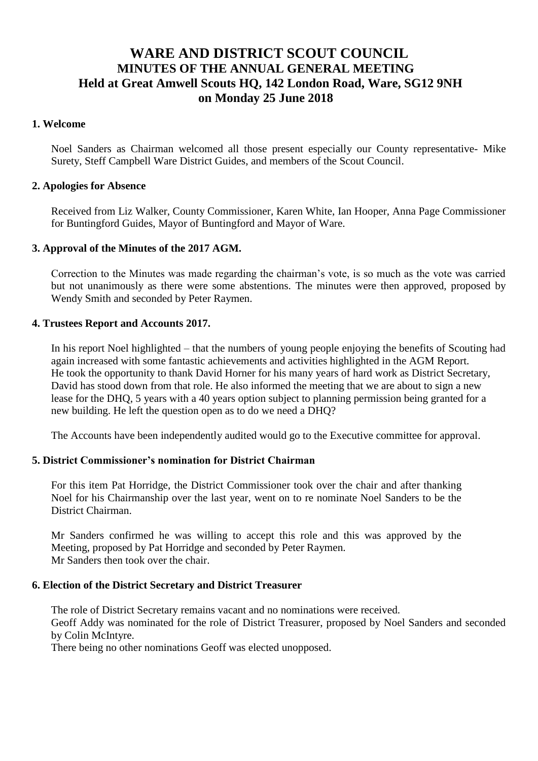# **WARE AND DISTRICT SCOUT COUNCIL MINUTES OF THE ANNUAL GENERAL MEETING Held at Great Amwell Scouts HQ, 142 London Road, Ware, SG12 9NH on Monday 25 June 2018**

# **1. Welcome**

Noel Sanders as Chairman welcomed all those present especially our County representative- Mike Surety, Steff Campbell Ware District Guides, and members of the Scout Council.

## **2. Apologies for Absence**

Received from Liz Walker, County Commissioner, Karen White, Ian Hooper, Anna Page Commissioner for Buntingford Guides, Mayor of Buntingford and Mayor of Ware.

## **3. Approval of the Minutes of the 2017 AGM.**

Correction to the Minutes was made regarding the chairman's vote, is so much as the vote was carried but not unanimously as there were some abstentions. The minutes were then approved, proposed by Wendy Smith and seconded by Peter Raymen.

## **4. Trustees Report and Accounts 2017.**

In his report Noel highlighted – that the numbers of young people enjoying the benefits of Scouting had again increased with some fantastic achievements and activities highlighted in the AGM Report. He took the opportunity to thank David Horner for his many years of hard work as District Secretary, David has stood down from that role. He also informed the meeting that we are about to sign a new lease for the DHQ, 5 years with a 40 years option subject to planning permission being granted for a new building. He left the question open as to do we need a DHQ?

The Accounts have been independently audited would go to the Executive committee for approval.

## **5. District Commissioner's nomination for District Chairman**

For this item Pat Horridge, the District Commissioner took over the chair and after thanking Noel for his Chairmanship over the last year, went on to re nominate Noel Sanders to be the District Chairman.

Mr Sanders confirmed he was willing to accept this role and this was approved by the Meeting, proposed by Pat Horridge and seconded by Peter Raymen. Mr Sanders then took over the chair.

## **6. Election of the District Secretary and District Treasurer**

The role of District Secretary remains vacant and no nominations were received. Geoff Addy was nominated for the role of District Treasurer, proposed by Noel Sanders and seconded by Colin McIntyre.

There being no other nominations Geoff was elected unopposed.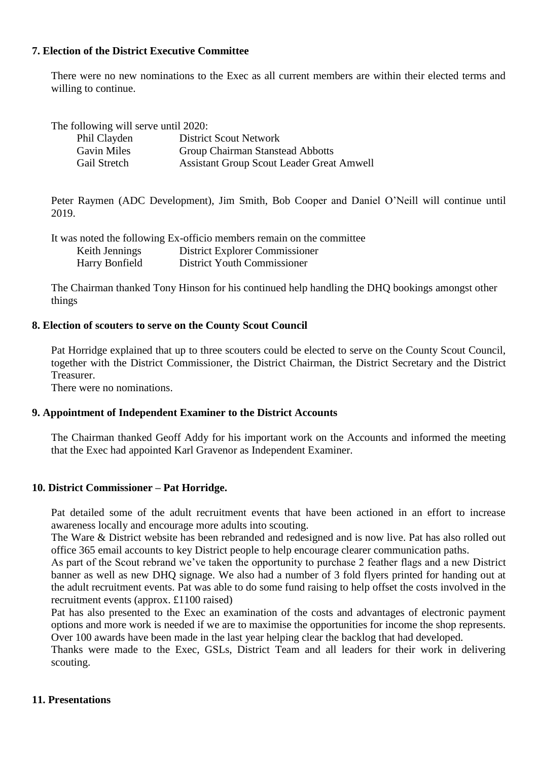# **7. Election of the District Executive Committee**

There were no new nominations to the Exec as all current members are within their elected terms and willing to continue.

| The following will serve until 2020: |                                                  |
|--------------------------------------|--------------------------------------------------|
| Phil Clayden                         | <b>District Scout Network</b>                    |
| <b>Gavin Miles</b>                   | Group Chairman Stanstead Abbotts                 |
| Gail Stretch                         | <b>Assistant Group Scout Leader Great Amwell</b> |

Peter Raymen (ADC Development), Jim Smith, Bob Cooper and Daniel O'Neill will continue until 2019.

|                | It was noted the following Ex-officio members remain on the committee |
|----------------|-----------------------------------------------------------------------|
| Keith Jennings | District Explorer Commissioner                                        |
| Harry Bonfield | District Youth Commissioner                                           |

The Chairman thanked Tony Hinson for his continued help handling the DHQ bookings amongst other things

# **8. Election of scouters to serve on the County Scout Council**

Pat Horridge explained that up to three scouters could be elected to serve on the County Scout Council, together with the District Commissioner, the District Chairman, the District Secretary and the District Treasurer.

There were no nominations.

## **9. Appointment of Independent Examiner to the District Accounts**

The Chairman thanked Geoff Addy for his important work on the Accounts and informed the meeting that the Exec had appointed Karl Gravenor as Independent Examiner.

## **10. District Commissioner – Pat Horridge.**

Pat detailed some of the adult recruitment events that have been actioned in an effort to increase awareness locally and encourage more adults into scouting.

The Ware & District website has been rebranded and redesigned and is now live. Pat has also rolled out office 365 email accounts to key District people to help encourage clearer communication paths.

As part of the Scout rebrand we've taken the opportunity to purchase 2 feather flags and a new District banner as well as new DHQ signage. We also had a number of 3 fold flyers printed for handing out at the adult recruitment events. Pat was able to do some fund raising to help offset the costs involved in the recruitment events (approx. £1100 raised)

Pat has also presented to the Exec an examination of the costs and advantages of electronic payment options and more work is needed if we are to maximise the opportunities for income the shop represents. Over 100 awards have been made in the last year helping clear the backlog that had developed.

Thanks were made to the Exec, GSLs, District Team and all leaders for their work in delivering scouting.

# **11. Presentations**